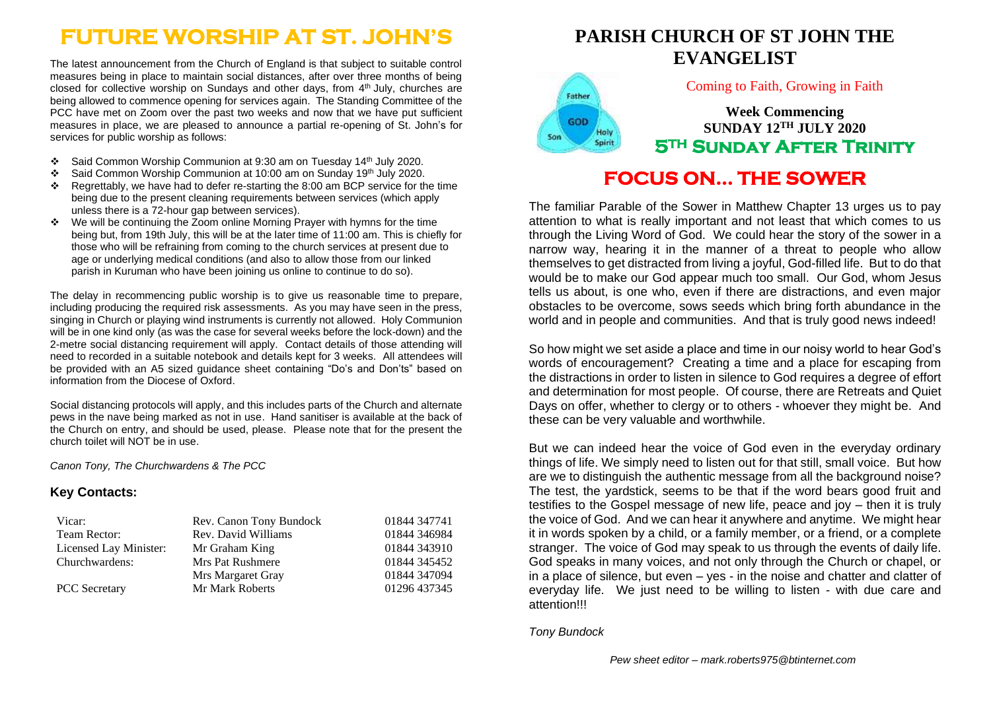# **FUTURE WORSHIP AT ST. JOHN'S**

The latest announcement from the Church of England is that subject to suitable control measures being in place to maintain social distances, after over three months of being closed for collective worship on Sundays and other days, from 4<sup>th</sup> July, churches are being allowed to commence opening for services again. The Standing Committee of the PCC have met on Zoom over the past two weeks and now that we have put sufficient measures in place, we are pleased to announce a partial re-opening of St. John's for services for public worship as follows:

- ❖ Said Common Worship Communion at 9:30 am on Tuesday 14th July 2020.
- ❖ Said Common Worship Communion at 10:00 am on Sunday 19th July 2020.
- ❖ Regrettably, we have had to defer re-starting the 8:00 am BCP service for the time being due to the present cleaning requirements between services (which apply unless there is a 72-hour gap between services).
- ❖ We will be continuing the Zoom online Morning Prayer with hymns for the time being but, from 19th July, this will be at the later time of 11:00 am. This is chiefly for those who will be refraining from coming to the church services at present due to age or underlying medical conditions (and also to allow those from our linked parish in Kuruman who have been joining us online to continue to do so).

The delay in recommencing public worship is to give us reasonable time to prepare, including producing the required risk assessments. As you may have seen in the press, singing in Church or playing wind instruments is currently not allowed. Holy Communion will be in one kind only (as was the case for several weeks before the lock-down) and the 2-metre social distancing requirement will apply. Contact details of those attending will need to recorded in a suitable notebook and details kept for 3 weeks. All attendees will be provided with an A5 sized guidance sheet containing "Do's and Don'ts" based on information from the Diocese of Oxford.

Social distancing protocols will apply, and this includes parts of the Church and alternate pews in the nave being marked as not in use. Hand sanitiser is available at the back of the Church on entry, and should be used, please. Please note that for the present the church toilet will NOT be in use.

*Canon Tony, The Churchwardens & The PCC*

### **Key Contacts:**

| Vicar:                 | Rev. Canon Tony Bundock | 01844 347741 |
|------------------------|-------------------------|--------------|
| Team Rector:           | Rev. David Williams     | 01844 346984 |
| Licensed Lay Minister: | Mr Graham King          | 01844 343910 |
| Churchwardens:         | Mrs Pat Rushmere        | 01844 345452 |
|                        | Mrs Margaret Gray       | 01844 347094 |
| <b>PCC</b> Secretary   | Mr Mark Roberts         | 01296 437345 |

# **PARISH CHURCH OF ST JOHN THE EVANGELIST**

Coming to Faith, Growing in Faith

**Week Commencing SUNDAY 12TH JULY 2020 5TH Sunday After Trinity** 

# **FOCUS ON… THE SOWER**

The familiar Parable of the Sower in Matthew Chapter 13 urges us to pay attention to what is really important and not least that which comes to us through the Living Word of God. We could hear the story of the sower in a narrow way, hearing it in the manner of a threat to people who allow themselves to get distracted from living a joyful, God-filled life. But to do that would be to make our God appear much too small. Our God, whom Jesus tells us about, is one who, even if there are distractions, and even major obstacles to be overcome, sows seeds which bring forth abundance in the world and in people and communities. And that is truly good news indeed!

So how might we set aside a place and time in our noisy world to hear God's words of encouragement? Creating a time and a place for escaping from the distractions in order to listen in silence to God requires a degree of effort and determination for most people. Of course, there are Retreats and Quiet Days on offer, whether to clergy or to others - whoever they might be. And these can be very valuable and worthwhile.

But we can indeed hear the voice of God even in the everyday ordinary things of life. We simply need to listen out for that still, small voice. But how are we to distinguish the authentic message from all the background noise? The test, the yardstick, seems to be that if the word bears good fruit and testifies to the Gospel message of new life, peace and joy – then it is truly the voice of God. And we can hear it anywhere and anytime. We might hear it in words spoken by a child, or a family member, or a friend, or a complete stranger. The voice of God may speak to us through the events of daily life. God speaks in many voices, and not only through the Church or chapel, or in a place of silence, but even – yes - in the noise and chatter and clatter of everyday life. We just need to be willing to listen - with due care and attention!!!

*Tony Bundock*

Father

GOD

Son

Holy

Spirit